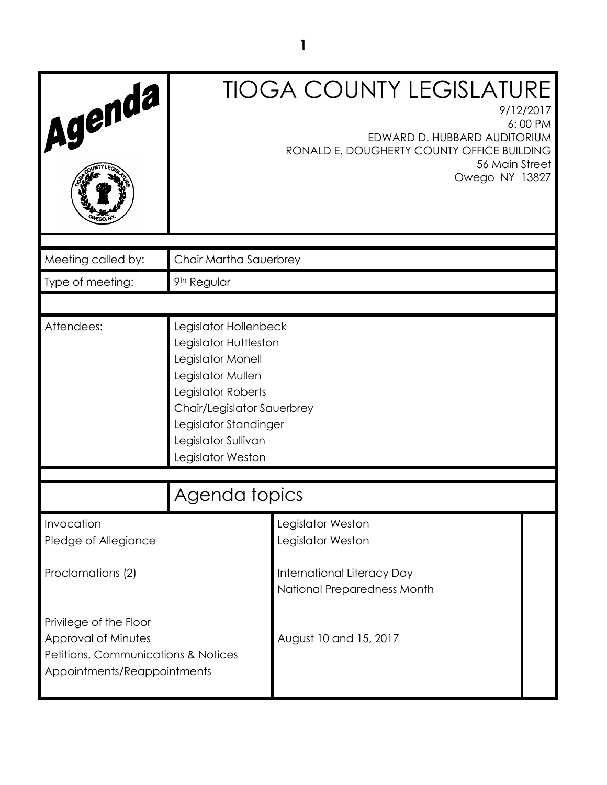| Agenda                                                                                                              |                                                                                                                                                                                                                   | <b>TIOGA COUNTY LEGISLATURE</b><br>9/12/2017<br>6:00 PM<br>EDWARD D. HUBBARD AUDITORIUM<br>RONALD E. DOUGHERTY COUNTY OFFICE BUILDING<br>56 Main Street<br>Owego NY 13827 |  |
|---------------------------------------------------------------------------------------------------------------------|-------------------------------------------------------------------------------------------------------------------------------------------------------------------------------------------------------------------|---------------------------------------------------------------------------------------------------------------------------------------------------------------------------|--|
| Meeting called by:                                                                                                  | Chair Martha Sauerbrey                                                                                                                                                                                            |                                                                                                                                                                           |  |
| Type of meeting:                                                                                                    | 9 <sup>th</sup> Regular                                                                                                                                                                                           |                                                                                                                                                                           |  |
|                                                                                                                     |                                                                                                                                                                                                                   |                                                                                                                                                                           |  |
| Attendees:                                                                                                          | Legislator Hollenbeck<br>Legislator Huttleston<br>Legislator Monell<br>Legislator Mullen<br>Legislator Roberts<br>Chair/Legislator Sauerbrey<br>Legislator Standinger<br>Legislator Sullivan<br>Legislator Weston |                                                                                                                                                                           |  |
|                                                                                                                     | Agenda topics                                                                                                                                                                                                     |                                                                                                                                                                           |  |
| Invocation<br>Pledge of Allegiance                                                                                  |                                                                                                                                                                                                                   | Legislator Weston<br>Legislator Weston                                                                                                                                    |  |
| Proclamations (2)                                                                                                   |                                                                                                                                                                                                                   | International Literacy Day<br>National Preparedness Month                                                                                                                 |  |
| Privilege of the Floor<br>Approval of Minutes<br>Petitions, Communications & Notices<br>Appointments/Reappointments |                                                                                                                                                                                                                   | August 10 and 15, 2017                                                                                                                                                    |  |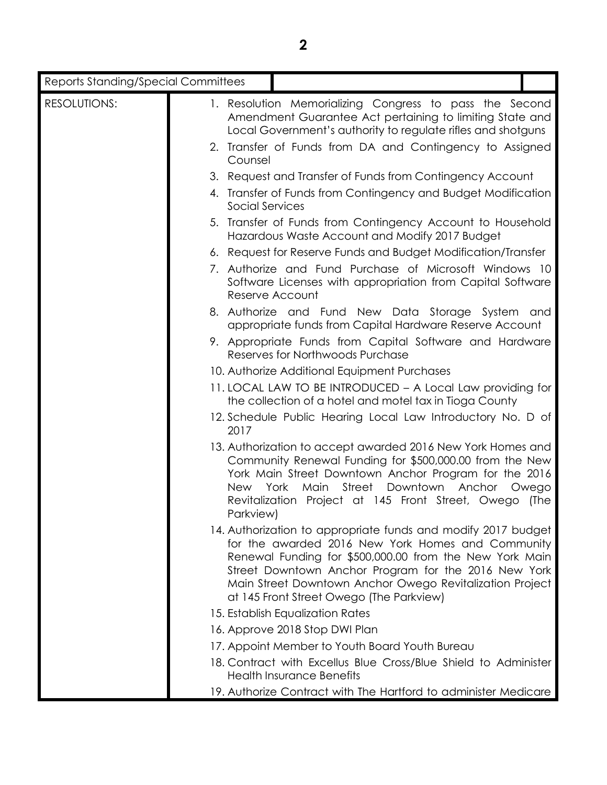| <b>Reports Standing/Special Committees</b> |                         |                                                                                                                                                                                                                                                                                                                                               |               |
|--------------------------------------------|-------------------------|-----------------------------------------------------------------------------------------------------------------------------------------------------------------------------------------------------------------------------------------------------------------------------------------------------------------------------------------------|---------------|
| <b>RESOLUTIONS:</b>                        |                         | 1. Resolution Memorializing Congress to pass the Second<br>Amendment Guarantee Act pertaining to limiting State and<br>Local Government's authority to regulate rifles and shotguns                                                                                                                                                           |               |
|                                            | Counsel                 | 2. Transfer of Funds from DA and Contingency to Assigned                                                                                                                                                                                                                                                                                      |               |
|                                            |                         | 3. Request and Transfer of Funds from Contingency Account                                                                                                                                                                                                                                                                                     |               |
|                                            | <b>Social Services</b>  | 4. Transfer of Funds from Contingency and Budget Modification                                                                                                                                                                                                                                                                                 |               |
|                                            |                         | 5. Transfer of Funds from Contingency Account to Household<br>Hazardous Waste Account and Modify 2017 Budget                                                                                                                                                                                                                                  |               |
|                                            |                         | 6. Request for Reserve Funds and Budget Modification/Transfer                                                                                                                                                                                                                                                                                 |               |
|                                            |                         | 7. Authorize and Fund Purchase of Microsoft Windows 10<br>Software Licenses with appropriation from Capital Software<br>Reserve Account                                                                                                                                                                                                       |               |
|                                            |                         | 8. Authorize and Fund New Data Storage System and<br>appropriate funds from Capital Hardware Reserve Account                                                                                                                                                                                                                                  |               |
|                                            |                         | 9. Appropriate Funds from Capital Software and Hardware<br>Reserves for Northwoods Purchase                                                                                                                                                                                                                                                   |               |
|                                            |                         | 10. Authorize Additional Equipment Purchases                                                                                                                                                                                                                                                                                                  |               |
|                                            |                         | 11. LOCAL LAW TO BE INTRODUCED - A Local Law providing for<br>the collection of a hotel and motel tax in Tioga County                                                                                                                                                                                                                         |               |
|                                            | 2017                    | 12. Schedule Public Hearing Local Law Introductory No. D of                                                                                                                                                                                                                                                                                   |               |
|                                            | <b>New</b><br>Parkview) | 13. Authorization to accept awarded 2016 New York Homes and<br>Community Renewal Funding for \$500,000.00 from the New<br>York Main Street Downtown Anchor Program for the 2016<br>Street<br>Downtown<br>York<br>Main<br>Anchor<br>Revitalization Project at 145 Front Street, Owego                                                          | Owego<br>(The |
|                                            |                         | 14. Authorization to appropriate funds and modify 2017 budget<br>for the awarded 2016 New York Homes and Community<br>Renewal Funding for \$500,000.00 from the New York Main<br>Street Downtown Anchor Program for the 2016 New York<br>Main Street Downtown Anchor Owego Revitalization Project<br>at 145 Front Street Owego (The Parkview) |               |
|                                            |                         | 15. Establish Equalization Rates                                                                                                                                                                                                                                                                                                              |               |
|                                            |                         | 16. Approve 2018 Stop DWI Plan                                                                                                                                                                                                                                                                                                                |               |
|                                            |                         | 17. Appoint Member to Youth Board Youth Bureau                                                                                                                                                                                                                                                                                                |               |
|                                            |                         | 18. Contract with Excellus Blue Cross/Blue Shield to Administer<br><b>Health Insurance Benefits</b>                                                                                                                                                                                                                                           |               |
|                                            |                         | 19. Authorize Contract with The Hartford to administer Medicare                                                                                                                                                                                                                                                                               |               |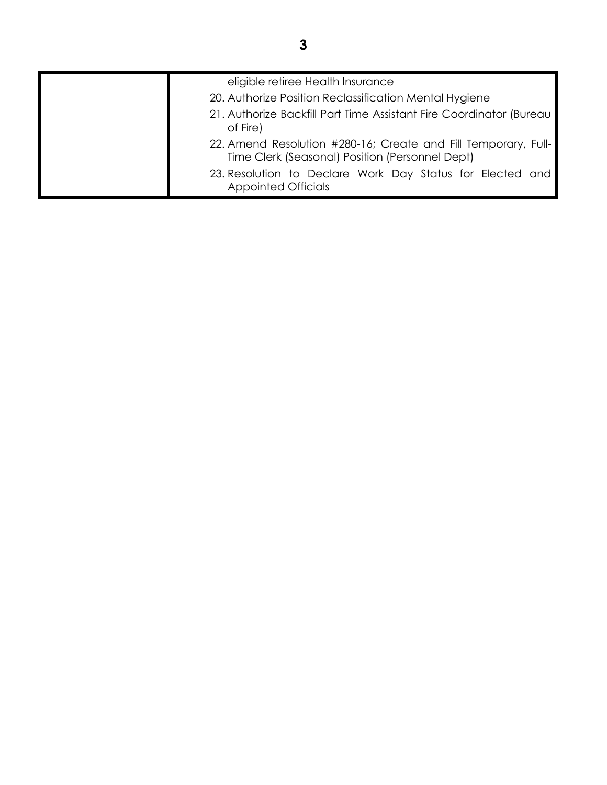| eligible retiree Health Insurance                                                                                 |
|-------------------------------------------------------------------------------------------------------------------|
| 20. Authorize Position Reclassification Mental Hygiene                                                            |
| 21. Authorize Backfill Part Time Assistant Fire Coordinator (Bureau<br>of Fire)                                   |
| 22. Amend Resolution #280-16; Create and Fill Temporary, Full-<br>Time Clerk (Seasonal) Position (Personnel Dept) |
| 23. Resolution to Declare Work Day Status for Elected and<br><b>Appointed Officials</b>                           |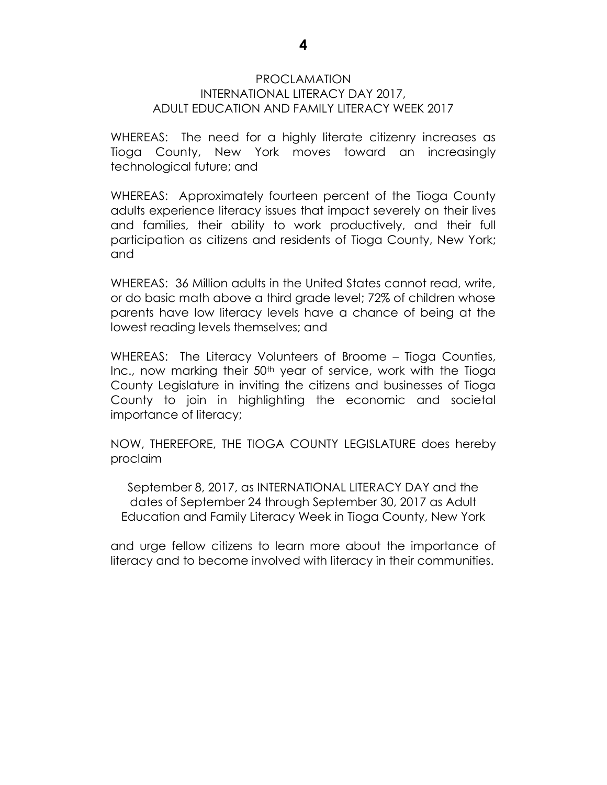#### PROCLAMATION INTERNATIONAL LITERACY DAY 2017, ADULT EDUCATION AND FAMILY LITERACY WEEK 2017

WHEREAS: The need for a highly literate citizenry increases as Tioga County, New York moves toward an increasingly technological future; and

WHEREAS: Approximately fourteen percent of the Tioga County adults experience literacy issues that impact severely on their lives and families, their ability to work productively, and their full participation as citizens and residents of Tioga County, New York; and

WHEREAS: 36 Million adults in the United States cannot read, write, or do basic math above a third grade level; 72% of children whose parents have low literacy levels have a chance of being at the lowest reading levels themselves; and

WHEREAS: The Literacy Volunteers of Broome – Tioga Counties, Inc., now marking their 50<sup>th</sup> year of service, work with the Tioga County Legislature in inviting the citizens and businesses of Tioga County to join in highlighting the economic and societal importance of literacy;

NOW, THEREFORE, THE TIOGA COUNTY LEGISLATURE does hereby proclaim

September 8, 2017, as INTERNATIONAL LITERACY DAY and the dates of September 24 through September 30, 2017 as Adult Education and Family Literacy Week in Tioga County, New York

and urge fellow citizens to learn more about the importance of literacy and to become involved with literacy in their communities.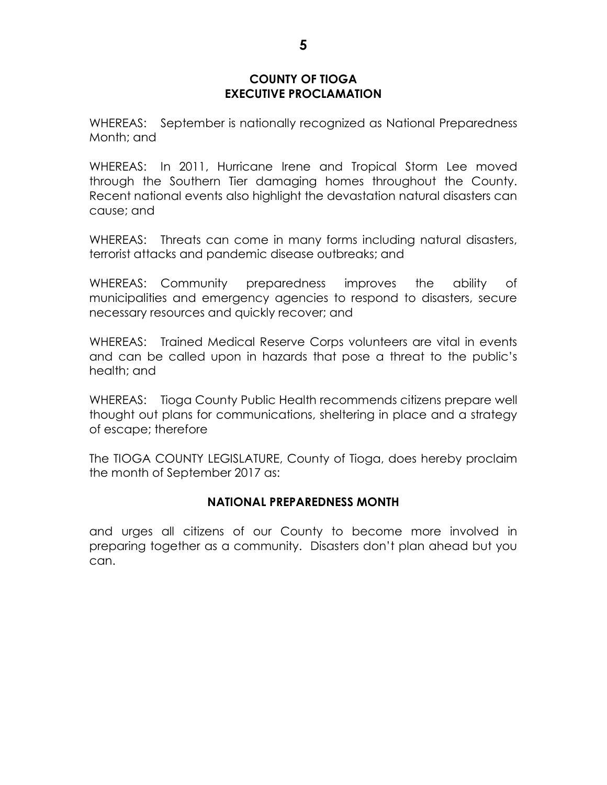#### **COUNTY OF TIOGA EXECUTIVE PROCLAMATION**

WHEREAS: September is nationally recognized as National Preparedness Month; and

WHEREAS: In 2011, Hurricane Irene and Tropical Storm Lee moved through the Southern Tier damaging homes throughout the County. Recent national events also highlight the devastation natural disasters can cause; and

WHEREAS: Threats can come in many forms including natural disasters, terrorist attacks and pandemic disease outbreaks; and

WHEREAS: Community preparedness improves the ability of municipalities and emergency agencies to respond to disasters, secure necessary resources and quickly recover; and

WHEREAS: Trained Medical Reserve Corps volunteers are vital in events and can be called upon in hazards that pose a threat to the public's health; and

WHEREAS: Tioga County Public Health recommends citizens prepare well thought out plans for communications, sheltering in place and a strategy of escape; therefore

The TIOGA COUNTY LEGISLATURE, County of Tioga, does hereby proclaim the month of September 2017 as:

#### **NATIONAL PREPAREDNESS MONTH**

and urges all citizens of our County to become more involved in preparing together as a community. Disasters don't plan ahead but you can.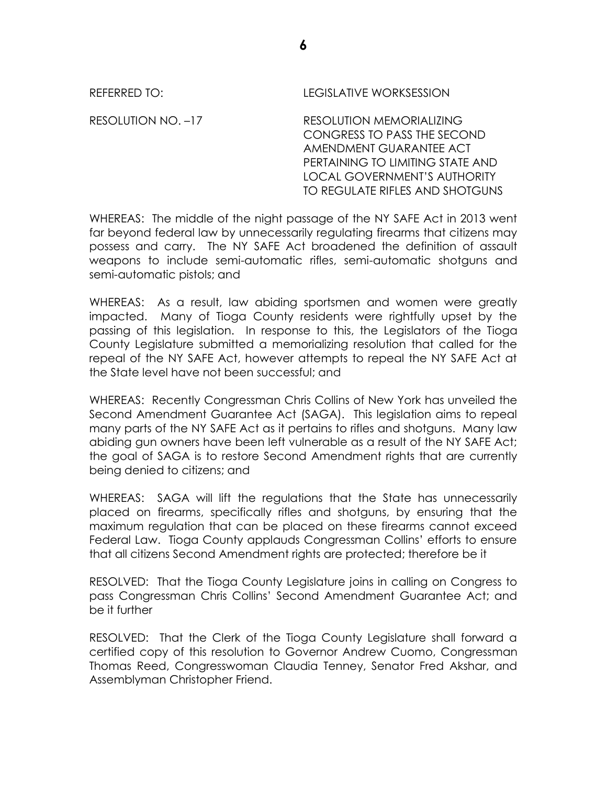REFERRED TO: LEGISLATIVE WORKSESSION RESOLUTION NO. –17 RESOLUTION MEMORIALIZING CONGRESS TO PASS THE SECOND AMENDMENT GUARANTEE ACT PERTAINING TO LIMITING STATE AND LOCAL GOVERNMENT'S AUTHORITY TO REGULATE RIFLES AND SHOTGUNS

WHEREAS: The middle of the night passage of the NY SAFE Act in 2013 went far beyond federal law by unnecessarily regulating firearms that citizens may possess and carry. The NY SAFE Act broadened the definition of assault weapons to include semi-automatic rifles, semi-automatic shotguns and semi-automatic pistols; and

WHEREAS: As a result, law abiding sportsmen and women were greatly impacted. Many of Tioga County residents were rightfully upset by the passing of this legislation. In response to this, the Legislators of the Tioga County Legislature submitted a memorializing resolution that called for the repeal of the NY SAFE Act, however attempts to repeal the NY SAFE Act at the State level have not been successful; and

WHEREAS: Recently Congressman Chris Collins of New York has unveiled the Second Amendment Guarantee Act (SAGA). This legislation aims to repeal many parts of the NY SAFE Act as it pertains to rifles and shotguns. Many law abiding gun owners have been left vulnerable as a result of the NY SAFE Act; the goal of SAGA is to restore Second Amendment rights that are currently being denied to citizens; and

WHEREAS: SAGA will lift the regulations that the State has unnecessarily placed on firearms, specifically rifles and shotguns, by ensuring that the maximum regulation that can be placed on these firearms cannot exceed Federal Law. Tioga County applauds Congressman Collins' efforts to ensure that all citizens Second Amendment rights are protected; therefore be it

RESOLVED: That the Tioga County Legislature joins in calling on Congress to pass Congressman Chris Collins' Second Amendment Guarantee Act; and be it further

RESOLVED: That the Clerk of the Tioga County Legislature shall forward a certified copy of this resolution to Governor Andrew Cuomo, Congressman Thomas Reed, Congresswoman Claudia Tenney, Senator Fred Akshar, and Assemblyman Christopher Friend.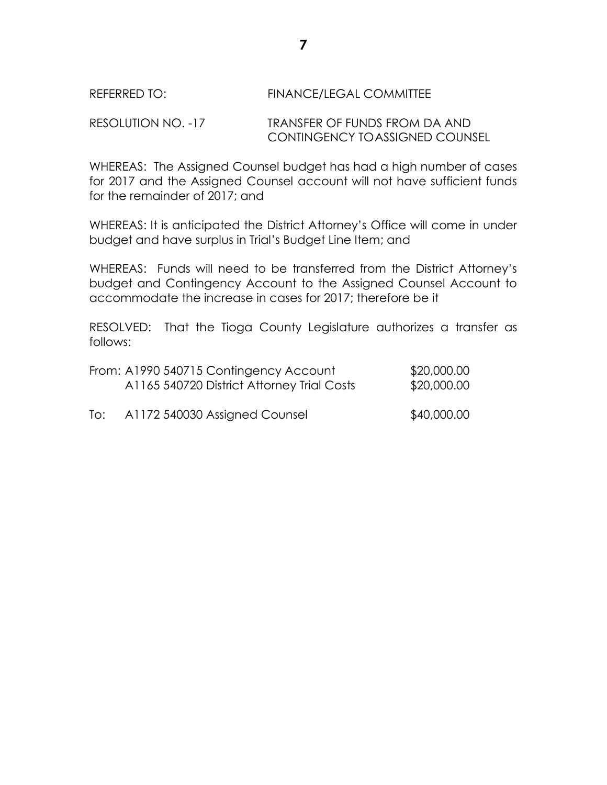## REFERRED TO: FINANCE/LEGAL COMMITTEE

RESOLUTION NO. -17 TRANSFER OF FUNDS FROM DA AND CONTINGENCY TOASSIGNED COUNSEL

WHEREAS: The Assigned Counsel budget has had a high number of cases for 2017 and the Assigned Counsel account will not have sufficient funds for the remainder of 2017; and

WHEREAS: It is anticipated the District Attorney's Office will come in under budget and have surplus in Trial's Budget Line Item; and

WHEREAS: Funds will need to be transferred from the District Attorney's budget and Contingency Account to the Assigned Counsel Account to accommodate the increase in cases for 2017; therefore be it

RESOLVED: That the Tioga County Legislature authorizes a transfer as follows:

|     | From: A1990 540715 Contingency Account<br>A1165 540720 District Attorney Trial Costs | \$20,000.00<br>\$20,000.00 |
|-----|--------------------------------------------------------------------------------------|----------------------------|
| To: | A1172 540030 Assigned Counsel                                                        | \$40,000.00                |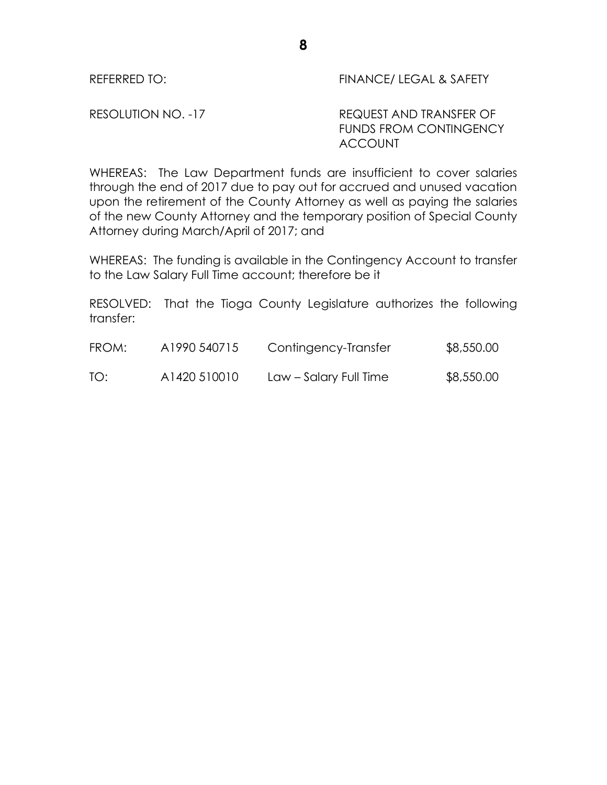REFERRED TO: THE STATE STATE REFERRED TO:

RESOLUTION NO. -17 REQUEST AND TRANSFER OF FUNDS FROM CONTINGENCY ACCOUNT

WHEREAS: The Law Department funds are insufficient to cover salaries through the end of 2017 due to pay out for accrued and unused vacation upon the retirement of the County Attorney as well as paying the salaries of the new County Attorney and the temporary position of Special County Attorney during March/April of 2017; and

WHEREAS: The funding is available in the Contingency Account to transfer to the Law Salary Full Time account; therefore be it

RESOLVED: That the Tioga County Legislature authorizes the following transfer:

| FROM: | A1990 540715 | Contingency-Transfer   | \$8,550.00 |
|-------|--------------|------------------------|------------|
| TO:   | A1420 510010 | Law – Salary Full Time | \$8,550.00 |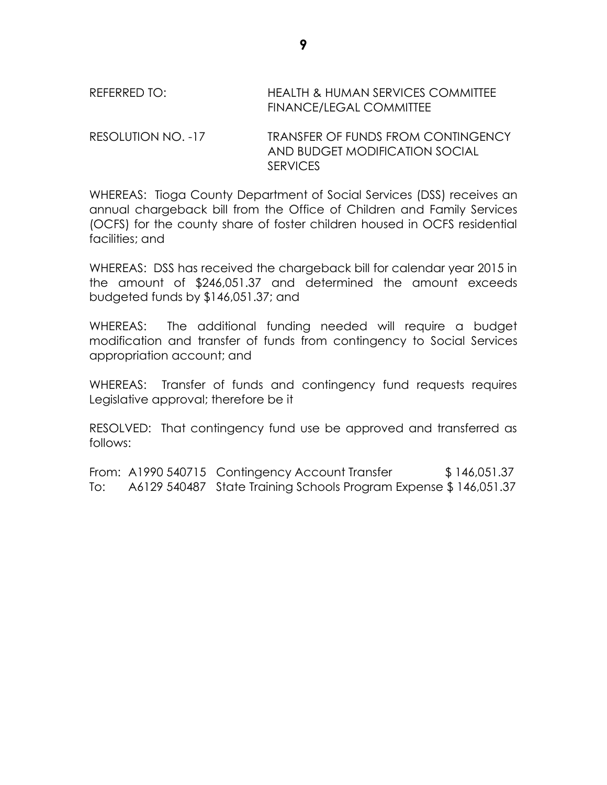# REFERRED TO: HEALTH & HUMAN SERVICES COMMITTEE FINANCE/LEGAL COMMITTEE

RESOLUTION NO. -17 TRANSFER OF FUNDS FROM CONTINGENCY AND BUDGET MODIFICATION SOCIAL **SERVICES** 

WHEREAS: Tioga County Department of Social Services (DSS) receives an annual chargeback bill from the Office of Children and Family Services (OCFS) for the county share of foster children housed in OCFS residential facilities; and

WHEREAS: DSS has received the chargeback bill for calendar year 2015 in the amount of \$246,051.37 and determined the amount exceeds budgeted funds by \$146,051.37; and

WHEREAS: The additional funding needed will require a budget modification and transfer of funds from contingency to Social Services appropriation account; and

WHEREAS: Transfer of funds and contingency fund requests requires Legislative approval; therefore be it

RESOLVED: That contingency fund use be approved and transferred as follows:

From: A1990 540715 Contingency Account Transfer \$ 146,051.37 To: A6129 540487 State Training Schools Program Expense \$ 146,051.37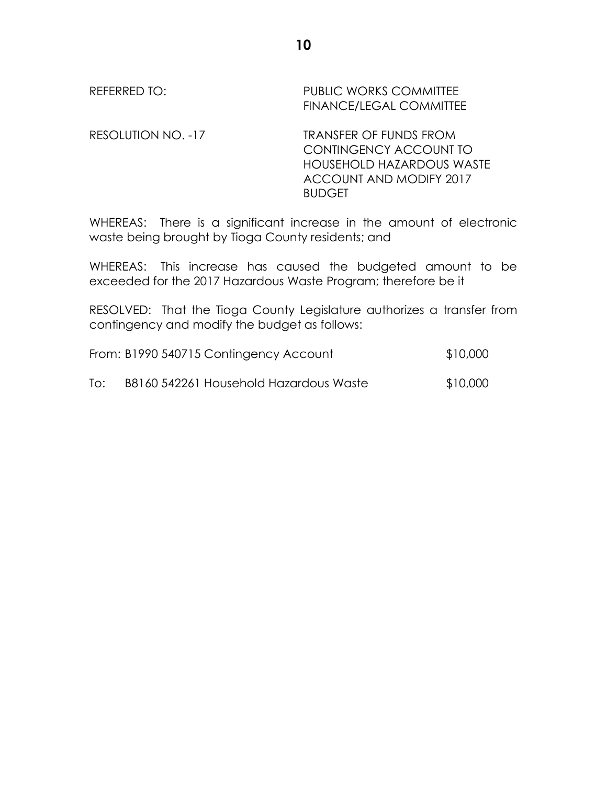# REFERRED TO: PUBLIC WORKS COMMITTEE FINANCE/LEGAL COMMITTEE RESOLUTION NO. -17 TRANSFER OF FUNDS FROM

CONTINGENCY ACCOUNT TO HOUSEHOLD HAZARDOUS WASTE ACCOUNT AND MODIFY 2017 **BUDGET** 

WHEREAS: There is a significant increase in the amount of electronic waste being brought by Tioga County residents; and

WHEREAS: This increase has caused the budgeted amount to be exceeded for the 2017 Hazardous Waste Program; therefore be it

RESOLVED: That the Tioga County Legislature authorizes a transfer from contingency and modify the budget as follows:

|     | From: B1990 540715 Contingency Account | \$10,000 |
|-----|----------------------------------------|----------|
| To: | B8160 542261 Household Hazardous Waste | \$10,000 |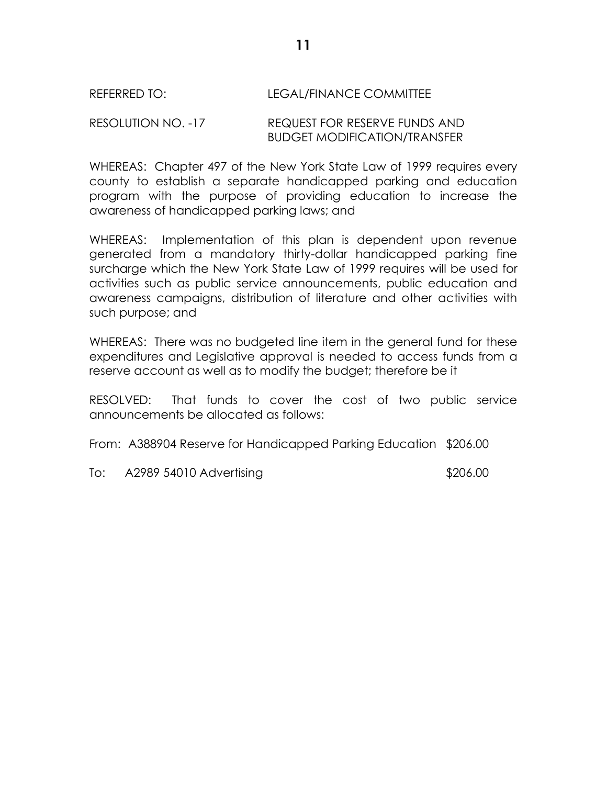## REFERRED TO: LEGAL/FINANCE COMMITTEE

#### RESOLUTION NO. -17 REQUEST FOR RESERVE FUNDS AND BUDGET MODIFICATION/TRANSFER

WHEREAS: Chapter 497 of the New York State Law of 1999 requires every county to establish a separate handicapped parking and education program with the purpose of providing education to increase the awareness of handicapped parking laws; and

WHEREAS: Implementation of this plan is dependent upon revenue generated from a mandatory thirty-dollar handicapped parking fine surcharge which the New York State Law of 1999 requires will be used for activities such as public service announcements, public education and awareness campaigns, distribution of literature and other activities with such purpose; and

WHEREAS: There was no budgeted line item in the general fund for these expenditures and Legislative approval is needed to access funds from a reserve account as well as to modify the budget; therefore be it

RESOLVED: That funds to cover the cost of two public service announcements be allocated as follows:

From: A388904 Reserve for Handicapped Parking Education \$206.00

To: A2989 54010 Advertising \$206.00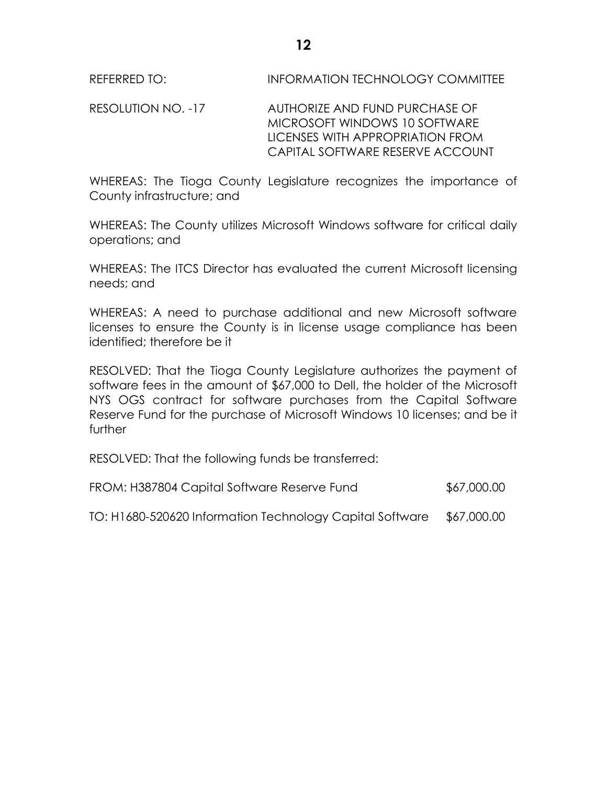RESOLUTION NO. -17 AUTHORIZE AND FUND PURCHASE OF MICROSOFT WINDOWS 10 SOFTWARE LICENSES WITH APPROPRIATION FROM CAPITAL SOFTWARE RESERVE ACCOUNT

WHEREAS: The Tioga County Legislature recognizes the importance of County infrastructure; and

WHEREAS: The County utilizes Microsoft Windows software for critical daily operations; and

WHEREAS: The ITCS Director has evaluated the current Microsoft licensing needs; and

WHEREAS: A need to purchase additional and new Microsoft software licenses to ensure the County is in license usage compliance has been identified; therefore be it

RESOLVED: That the Tioga County Legislature authorizes the payment of software fees in the amount of \$67,000 to Dell, the holder of the Microsoft NYS OGS contract for software purchases from the Capital Software Reserve Fund for the purchase of Microsoft Windows 10 licenses; and be it further

RESOLVED: That the following funds be transferred:

FROM: H387804 Capital Software Reserve Fund  $$67,000.00$ 

TO: H1680-520620 Information Technology Capital Software \$67,000.00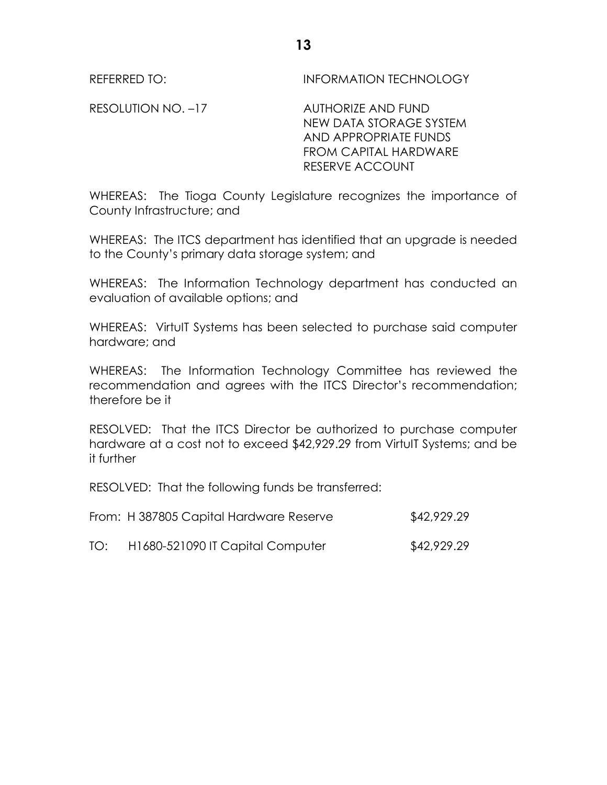REFERRED TO: **INFORMATION TECHNOLOGY** 

RESOLUTION NO. -17 AUTHORIZE AND FUND NEW DATA STORAGE SYSTEM AND APPROPRIATE FUNDS FROM CAPITAL HARDWARE RESERVE ACCOUNT

WHEREAS: The Tioga County Legislature recognizes the importance of County Infrastructure; and

WHEREAS: The ITCS department has identified that an upgrade is needed to the County's primary data storage system; and

WHEREAS: The Information Technology department has conducted an evaluation of available options; and

WHEREAS: VirtuIT Systems has been selected to purchase said computer hardware; and

WHEREAS: The Information Technology Committee has reviewed the recommendation and agrees with the ITCS Director's recommendation; therefore be it

RESOLVED: That the ITCS Director be authorized to purchase computer hardware at a cost not to exceed \$42,929.29 from VirtulT Systems; and be it further

RESOLVED: That the following funds be transferred:

|     | From: H 387805 Capital Hardware Reserve | \$42,929.29 |
|-----|-----------------------------------------|-------------|
| TO: | H1680-521090 IT Capital Computer        | \$42,929.29 |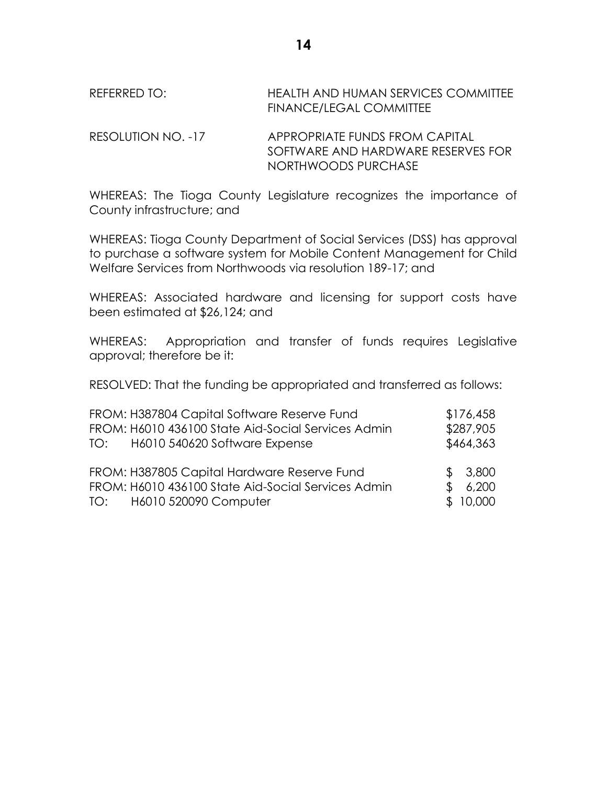REFERRED TO: HEALTH AND HUMAN SERVICES COMMITTEE FINANCE/LEGAL COMMITTEE

RESOLUTION NO. -17 APPROPRIATE FUNDS FROM CAPITAL SOFTWARE AND HARDWARE RESERVES FOR NORTHWOODS PURCHASE

WHEREAS: The Tioga County Legislature recognizes the importance of County infrastructure; and

WHEREAS: Tioga County Department of Social Services (DSS) has approval to purchase a software system for Mobile Content Management for Child Welfare Services from Northwoods via resolution 189-17; and

WHEREAS: Associated hardware and licensing for support costs have been estimated at \$26,124; and

WHEREAS: Appropriation and transfer of funds requires Legislative approval; therefore be it:

RESOLVED: That the funding be appropriated and transferred as follows:

| FROM: H387804 Capital Software Reserve Fund        |     | \$176,458 |
|----------------------------------------------------|-----|-----------|
| FROM: H6010 436100 State Aid-Social Services Admin |     | \$287,905 |
| TO: H6010 540620 Software Expense                  |     | \$464,363 |
|                                                    |     |           |
| FROM: H387805 Capital Hardware Reserve Fund        |     | \$3,800   |
| FROM: H6010 436100 State Aid-Social Services Admin | \$. | 6,200     |
| TO: H6010 520090 Computer                          |     | \$10,000  |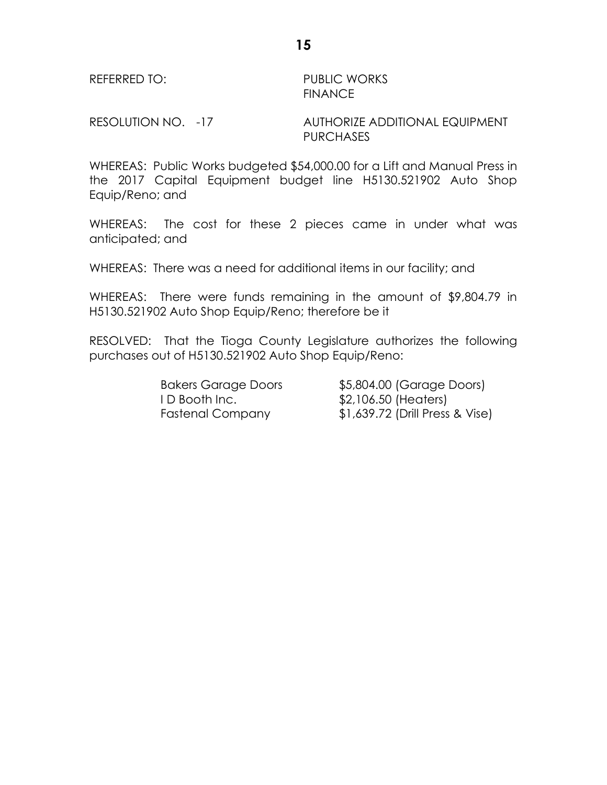REFERRED TO: PUBLIC WORKS FINANCE

RESOLUTION NO. -17 AUTHORIZE ADDITIONAL EQUIPMENT PURCHASES

WHEREAS: Public Works budgeted \$54,000.00 for a Lift and Manual Press in the 2017 Capital Equipment budget line H5130.521902 Auto Shop Equip/Reno; and

WHEREAS: The cost for these 2 pieces came in under what was anticipated; and

WHEREAS: There was a need for additional items in our facility; and

WHEREAS: There were funds remaining in the amount of \$9,804.79 in H5130.521902 Auto Shop Equip/Reno; therefore be it

RESOLVED: That the Tioga County Legislature authorizes the following purchases out of H5130.521902 Auto Shop Equip/Reno:

I D Booth Inc.  $$2,106.50$  (Heaters)

Bakers Garage Doors \$5,804.00 (Garage Doors) Fastenal Company \$1,639.72 (Drill Press & Vise)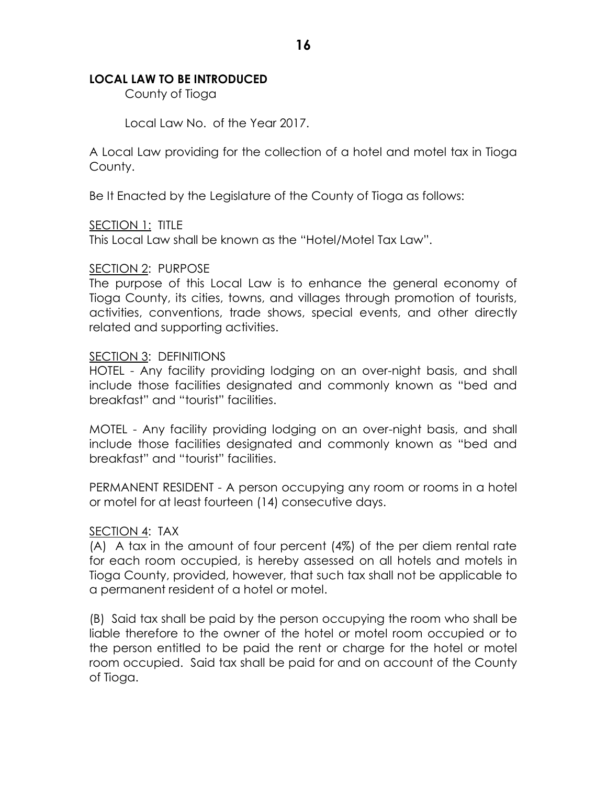## **LOCAL LAW TO BE INTRODUCED**

County of Tioga

Local Law No. of the Year 2017.

A Local Law providing for the collection of a hotel and motel tax in Tioga County.

Be It Enacted by the Legislature of the County of Tioga as follows:

## SECTION 1: TITLE

This Local Law shall be known as the "Hotel/Motel Tax Law".

## SECTION 2: PURPOSE

The purpose of this Local Law is to enhance the general economy of Tioga County, its cities, towns, and villages through promotion of tourists, activities, conventions, trade shows, special events, and other directly related and supporting activities.

#### SECTION 3: DEFINITIONS

HOTEL - Any facility providing lodging on an over-night basis, and shall include those facilities designated and commonly known as "bed and breakfast" and "tourist" facilities.

MOTEL - Any facility providing lodging on an over-night basis, and shall include those facilities designated and commonly known as "bed and breakfast" and "tourist" facilities.

PERMANENT RESIDENT - A person occupying any room or rooms in a hotel or motel for at least fourteen (14) consecutive days.

#### SECTION 4: TAX

(A) A tax in the amount of four percent (4%) of the per diem rental rate for each room occupied, is hereby assessed on all hotels and motels in Tioga County, provided, however, that such tax shall not be applicable to a permanent resident of a hotel or motel.

(B) Said tax shall be paid by the person occupying the room who shall be liable therefore to the owner of the hotel or motel room occupied or to the person entitled to be paid the rent or charge for the hotel or motel room occupied. Said tax shall be paid for and on account of the County of Tioga.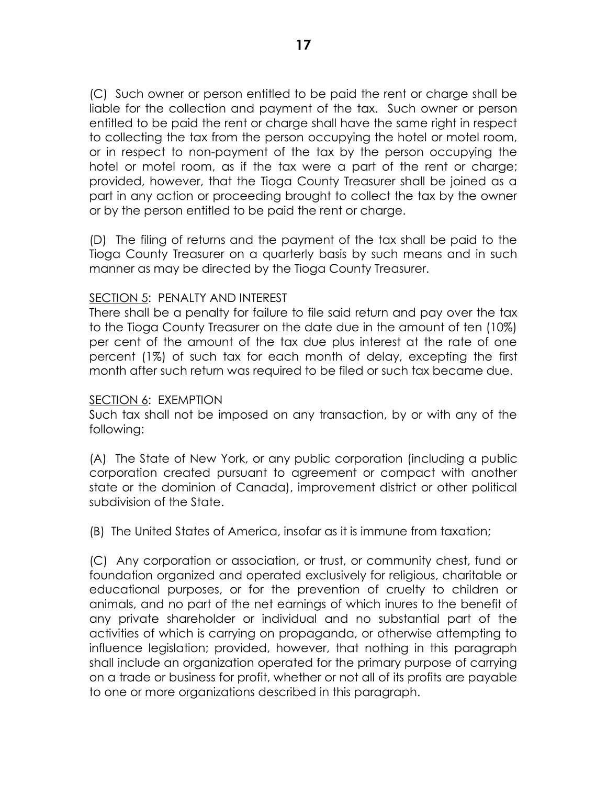(C) Such owner or person entitled to be paid the rent or charge shall be liable for the collection and payment of the tax. Such owner or person entitled to be paid the rent or charge shall have the same right in respect to collecting the tax from the person occupying the hotel or motel room, or in respect to non-payment of the tax by the person occupying the hotel or motel room, as if the tax were a part of the rent or charge; provided, however, that the Tioga County Treasurer shall be joined as a part in any action or proceeding brought to collect the tax by the owner or by the person entitled to be paid the rent or charge.

(D) The filing of returns and the payment of the tax shall be paid to the Tioga County Treasurer on a quarterly basis by such means and in such manner as may be directed by the Tioga County Treasurer.

## SECTION 5: PENALTY AND INTEREST

There shall be a penalty for failure to file said return and pay over the tax to the Tioga County Treasurer on the date due in the amount of ten (10%) per cent of the amount of the tax due plus interest at the rate of one percent (1%) of such tax for each month of delay, excepting the first month after such return was required to be filed or such tax became due.

#### SECTION 6: EXEMPTION

Such tax shall not be imposed on any transaction, by or with any of the following:

(A) The State of New York, or any public corporation (including a public corporation created pursuant to agreement or compact with another state or the dominion of Canada), improvement district or other political subdivision of the State.

(B) The United States of America, insofar as it is immune from taxation;

(C) Any corporation or association, or trust, or community chest, fund or foundation organized and operated exclusively for religious, charitable or educational purposes, or for the prevention of cruelty to children or animals, and no part of the net earnings of which inures to the benefit of any private shareholder or individual and no substantial part of the activities of which is carrying on propaganda, or otherwise attempting to influence legislation; provided, however, that nothing in this paragraph shall include an organization operated for the primary purpose of carrying on a trade or business for profit, whether or not all of its profits are payable to one or more organizations described in this paragraph.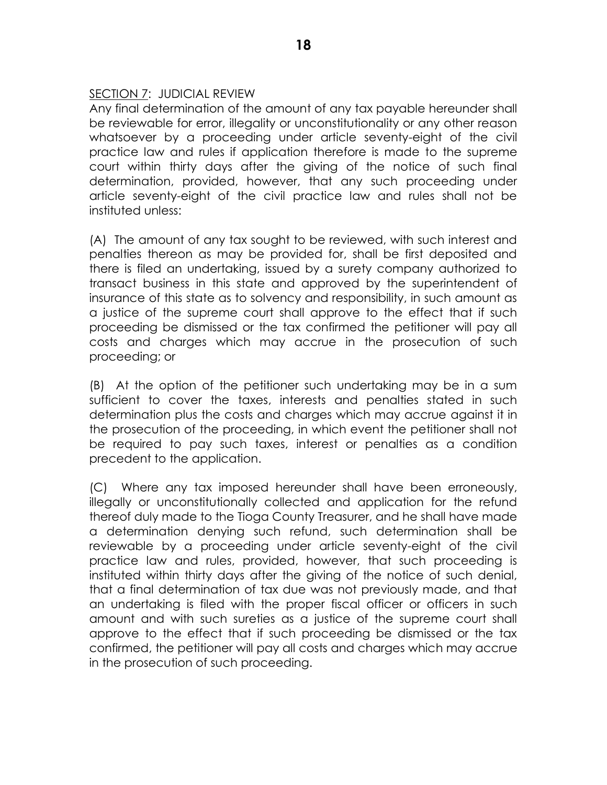## SECTION 7: JUDICIAL REVIEW

Any final determination of the amount of any tax payable hereunder shall be reviewable for error, illegality or unconstitutionality or any other reason whatsoever by a proceeding under article seventy-eight of the civil practice law and rules if application therefore is made to the supreme court within thirty days after the giving of the notice of such final determination, provided, however, that any such proceeding under article seventy-eight of the civil practice law and rules shall not be instituted unless:

(A) The amount of any tax sought to be reviewed, with such interest and penalties thereon as may be provided for, shall be first deposited and there is filed an undertaking, issued by a surety company authorized to transact business in this state and approved by the superintendent of insurance of this state as to solvency and responsibility, in such amount as a justice of the supreme court shall approve to the effect that if such proceeding be dismissed or the tax confirmed the petitioner will pay all costs and charges which may accrue in the prosecution of such proceeding; or

(B) At the option of the petitioner such undertaking may be in a sum sufficient to cover the taxes, interests and penalties stated in such determination plus the costs and charges which may accrue against it in the prosecution of the proceeding, in which event the petitioner shall not be required to pay such taxes, interest or penalties as a condition precedent to the application.

(C) Where any tax imposed hereunder shall have been erroneously, illegally or unconstitutionally collected and application for the refund thereof duly made to the Tioga County Treasurer, and he shall have made a determination denying such refund, such determination shall be reviewable by a proceeding under article seventy-eight of the civil practice law and rules, provided, however, that such proceeding is instituted within thirty days after the giving of the notice of such denial, that a final determination of tax due was not previously made, and that an undertaking is filed with the proper fiscal officer or officers in such amount and with such sureties as a justice of the supreme court shall approve to the effect that if such proceeding be dismissed or the tax confirmed, the petitioner will pay all costs and charges which may accrue in the prosecution of such proceeding.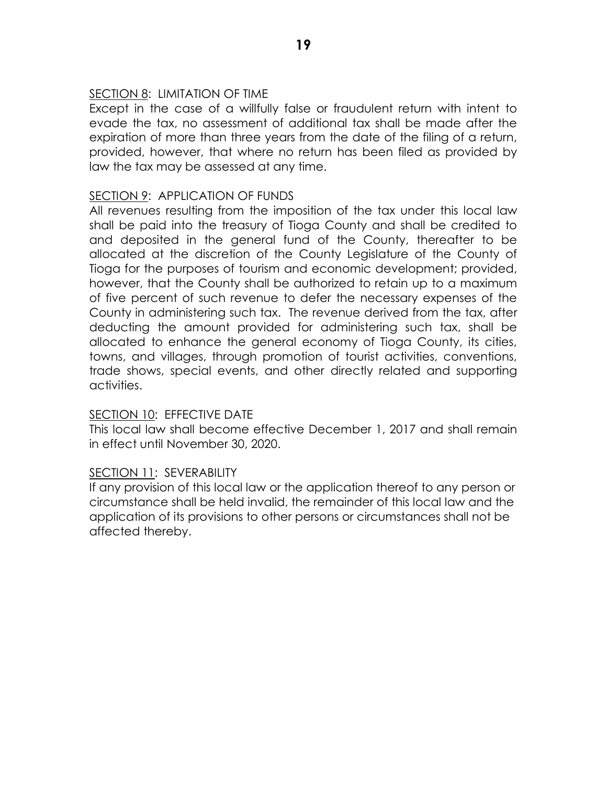## SECTION 8: LIMITATION OF TIME

Except in the case of a willfully false or fraudulent return with intent to evade the tax, no assessment of additional tax shall be made after the expiration of more than three years from the date of the filing of a return, provided, however, that where no return has been filed as provided by law the tax may be assessed at any time.

## SECTION 9: APPLICATION OF FUNDS

All revenues resulting from the imposition of the tax under this local law shall be paid into the treasury of Tioga County and shall be credited to and deposited in the general fund of the County, thereafter to be allocated at the discretion of the County Legislature of the County of Tioga for the purposes of tourism and economic development; provided, however, that the County shall be authorized to retain up to a maximum of five percent of such revenue to defer the necessary expenses of the County in administering such tax. The revenue derived from the tax, after deducting the amount provided for administering such tax, shall be allocated to enhance the general economy of Tioga County, its cities, towns, and villages, through promotion of tourist activities, conventions, trade shows, special events, and other directly related and supporting activities.

#### SECTION 10: EFFECTIVE DATE

This local law shall become effective December 1, 2017 and shall remain in effect until November 30, 2020.

#### SECTION 11: SEVERABILITY

If any provision of this local law or the application thereof to any person or circumstance shall be held invalid, the remainder of this local law and the application of its provisions to other persons or circumstances shall not be affected thereby.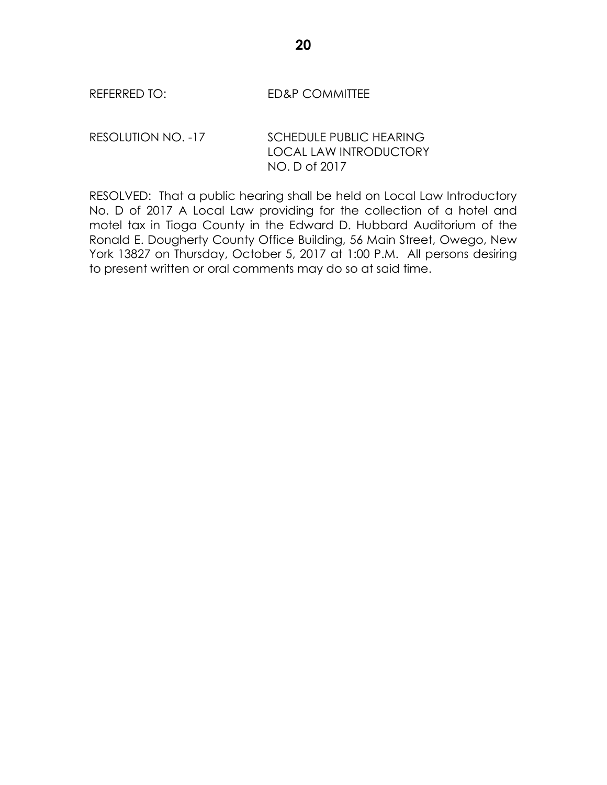REFERRED TO: ED&P COMMITTEE

RESOLUTION NO. -17 SCHEDULE PUBLIC HEARING LOCAL LAW INTRODUCTORY NO. D of 2017

RESOLVED: That a public hearing shall be held on Local Law Introductory No. D of 2017 A Local Law providing for the collection of a hotel and motel tax in Tioga County in the Edward D. Hubbard Auditorium of the Ronald E. Dougherty County Office Building, 56 Main Street, Owego, New York 13827 on Thursday, October 5, 2017 at 1:00 P.M. All persons desiring to present written or oral comments may do so at said time.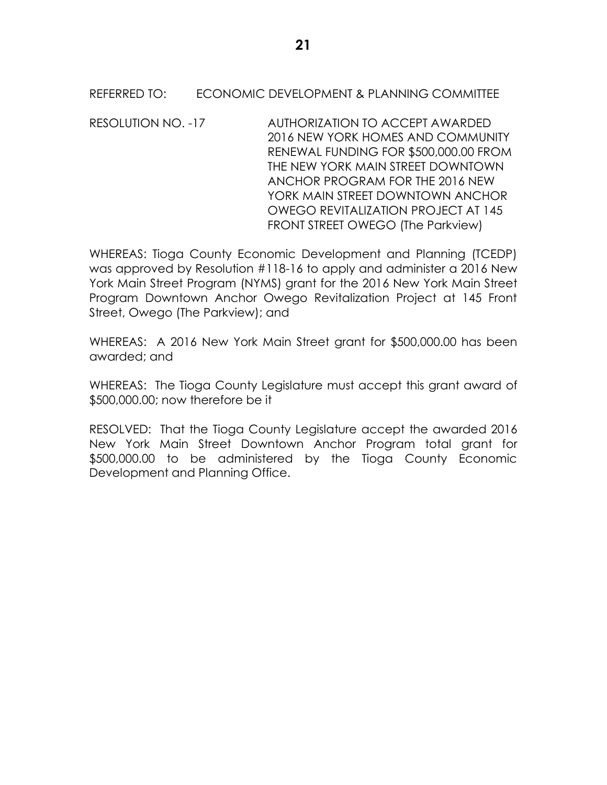## REFERRED TO: ECONOMIC DEVELOPMENT & PLANNING COMMITTEE

RESOLUTION NO. -17 AUTHORIZATION TO ACCEPT AWARDED 2016 NEW YORK HOMES AND COMMUNITY RENEWAL FUNDING FOR \$500,000.00 FROM THE NEW YORK MAIN STREET DOWNTOWN ANCHOR PROGRAM FOR THE 2016 NEW YORK MAIN STREET DOWNTOWN ANCHOR OWEGO REVITALIZATION PROJECT AT 145 FRONT STREET OWEGO (The Parkview)

WHEREAS: Tioga County Economic Development and Planning (TCEDP) was approved by Resolution #118-16 to apply and administer a 2016 New York Main Street Program (NYMS) grant for the 2016 New York Main Street Program Downtown Anchor Owego Revitalization Project at 145 Front Street, Owego (The Parkview); and

WHEREAS: A 2016 New York Main Street grant for \$500,000.00 has been awarded; and

WHEREAS: The Tioga County Legislature must accept this grant award of \$500,000.00; now therefore be it

RESOLVED: That the Tioga County Legislature accept the awarded 2016 New York Main Street Downtown Anchor Program total grant for \$500,000.00 to be administered by the Tioga County Economic Development and Planning Office.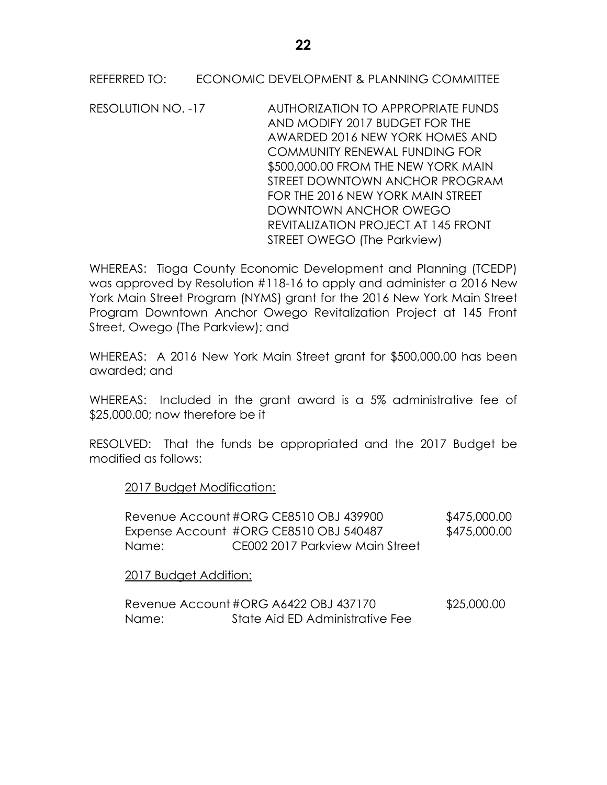RESOLUTION NO. -17 AUTHORIZATION TO APPROPRIATE FUNDS AND MODIFY 2017 BUDGET FOR THE AWARDED 2016 NEW YORK HOMES AND COMMUNITY RENEWAL FUNDING FOR \$500,000.00 FROM THE NEW YORK MAIN STREET DOWNTOWN ANCHOR PROGRAM FOR THE 2016 NEW YORK MAIN STREET DOWNTOWN ANCHOR OWEGO REVITALIZATION PROJECT AT 145 FRONT STREET OWEGO (The Parkview)

WHEREAS: Tioga County Economic Development and Planning (TCEDP) was approved by Resolution #118-16 to apply and administer a 2016 New York Main Street Program (NYMS) grant for the 2016 New York Main Street Program Downtown Anchor Owego Revitalization Project at 145 Front Street, Owego (The Parkview); and

WHEREAS: A 2016 New York Main Street grant for \$500,000.00 has been awarded; and

WHEREAS: Included in the grant award is a 5% administrative fee of \$25,000.00; now therefore be it

RESOLVED: That the funds be appropriated and the 2017 Budget be modified as follows:

2017 Budget Modification:

|       | Revenue Account #ORG CE8510 OBJ 439900 | \$475,000.00 |
|-------|----------------------------------------|--------------|
|       | Expense Account #ORG CE8510 OBJ 540487 | \$475,000.00 |
| Name: | CE002 2017 Parkview Main Street        |              |

2017 Budget Addition:

|       | Revenue Account #ORG A6422 OBJ 437170 | \$25,000.00 |
|-------|---------------------------------------|-------------|
| Name: | State Aid ED Administrative Fee       |             |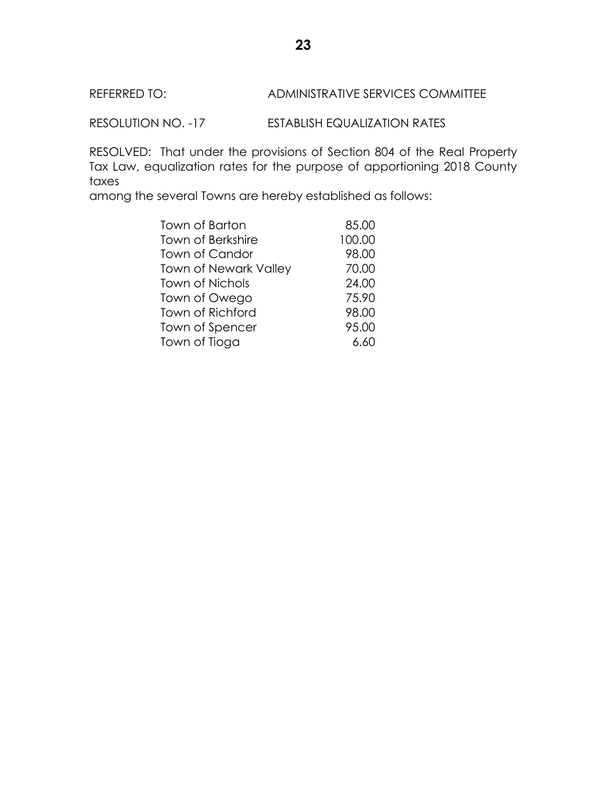## REFERRED TO: ADMINISTRATIVE SERVICES COMMITTEE

RESOLUTION NO. -17 ESTABLISH EQUALIZATION RATES

RESOLVED: That under the provisions of Section 804 of the Real Property Tax Law, equalization rates for the purpose of apportioning 2018 County taxes

among the several Towns are hereby established as follows:

| Town of Barton               | 85.00  |
|------------------------------|--------|
| <b>Town of Berkshire</b>     | 100.00 |
| <b>Town of Candor</b>        | 98.00  |
| <b>Town of Newark Valley</b> | 70.00  |
| <b>Town of Nichols</b>       | 24.00  |
| Town of Owego                | 75.90  |
| <b>Town of Richford</b>      | 98.00  |
| Town of Spencer              | 95.00  |
| Town of Tioga                | 6.60   |
|                              |        |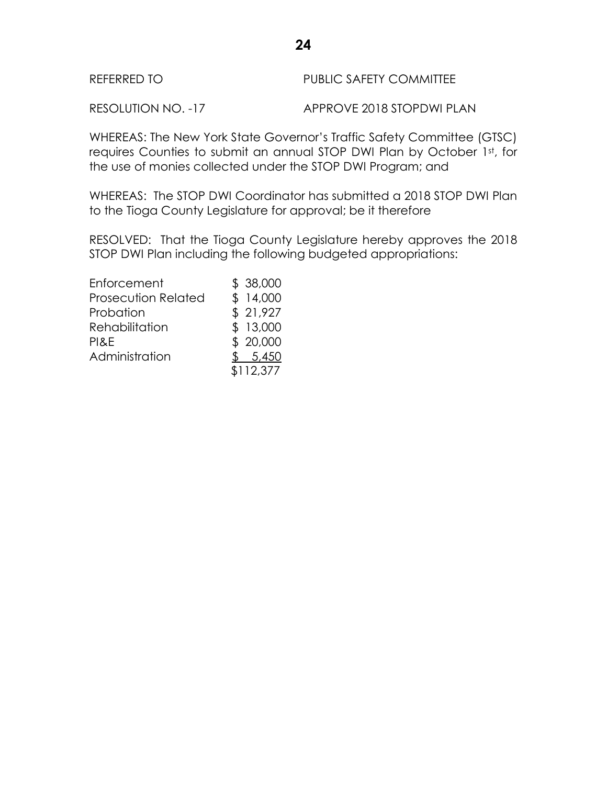| REFERRED TO | <b>PUBLIC SAFETY COMMITTEE</b> |
|-------------|--------------------------------|
|             |                                |

RESOLUTION NO. -17 APPROVE 2018 STOPDWI PLAN

WHEREAS: The New York State Governor's Traffic Safety Committee (GTSC) requires Counties to submit an annual STOP DWI Plan by October 1st, for the use of monies collected under the STOP DWI Program; and

WHEREAS: The STOP DWI Coordinator has submitted a 2018 STOP DWI Plan to the Tioga County Legislature for approval; be it therefore

RESOLVED: That the Tioga County Legislature hereby approves the 2018 STOP DWI Plan including the following budgeted appropriations:

| \$38,000  |
|-----------|
| \$14,000  |
| \$21,927  |
| \$13,000  |
| \$20,000  |
| \$5,450   |
| \$112,377 |
|           |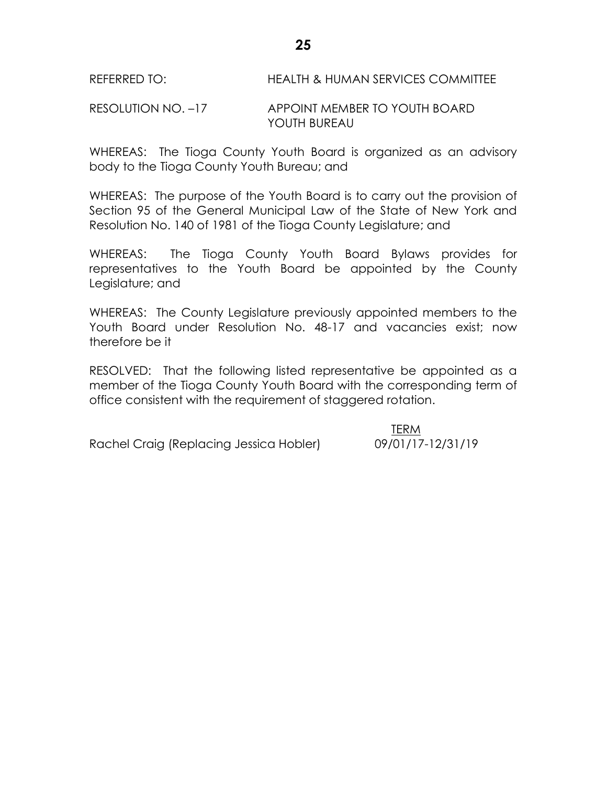REFERRED TO: **HEALTH & HUMAN SERVICES COMMITTEE** 

RESOLUTION NO. –17 APPOINT MEMBER TO YOUTH BOARD YOUTH BUREAU

WHEREAS: The Tioga County Youth Board is organized as an advisory body to the Tioga County Youth Bureau; and

WHEREAS: The purpose of the Youth Board is to carry out the provision of Section 95 of the General Municipal Law of the State of New York and Resolution No. 140 of 1981 of the Tioga County Legislature; and

WHEREAS: The Tioga County Youth Board Bylaws provides for representatives to the Youth Board be appointed by the County Legislature; and

WHEREAS: The County Legislature previously appointed members to the Youth Board under Resolution No. 48-17 and vacancies exist; now therefore be it

RESOLVED: That the following listed representative be appointed as a member of the Tioga County Youth Board with the corresponding term of office consistent with the requirement of staggered rotation.

Rachel Craig (Replacing Jessica Hobler) 09/01/17-12/31/19

TERM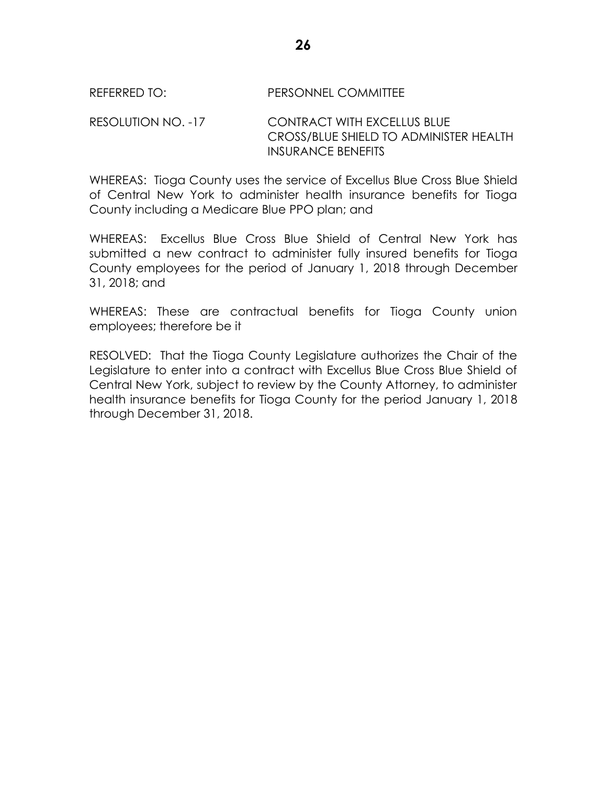### REFERRED TO: PERSONNEL COMMITTEE

RESOLUTION NO. -17 CONTRACT WITH EXCELLUS BLUE CROSS/BLUE SHIELD TO ADMINISTER HEALTH INSURANCE BENEFITS

WHEREAS: Tioga County uses the service of Excellus Blue Cross Blue Shield of Central New York to administer health insurance benefits for Tioga County including a Medicare Blue PPO plan; and

WHEREAS: Excellus Blue Cross Blue Shield of Central New York has submitted a new contract to administer fully insured benefits for Tioga County employees for the period of January 1, 2018 through December 31, 2018; and

WHEREAS: These are contractual benefits for Tioga County union employees; therefore be it

RESOLVED: That the Tioga County Legislature authorizes the Chair of the Legislature to enter into a contract with Excellus Blue Cross Blue Shield of Central New York, subject to review by the County Attorney, to administer health insurance benefits for Tioga County for the period January 1, 2018 through December 31, 2018.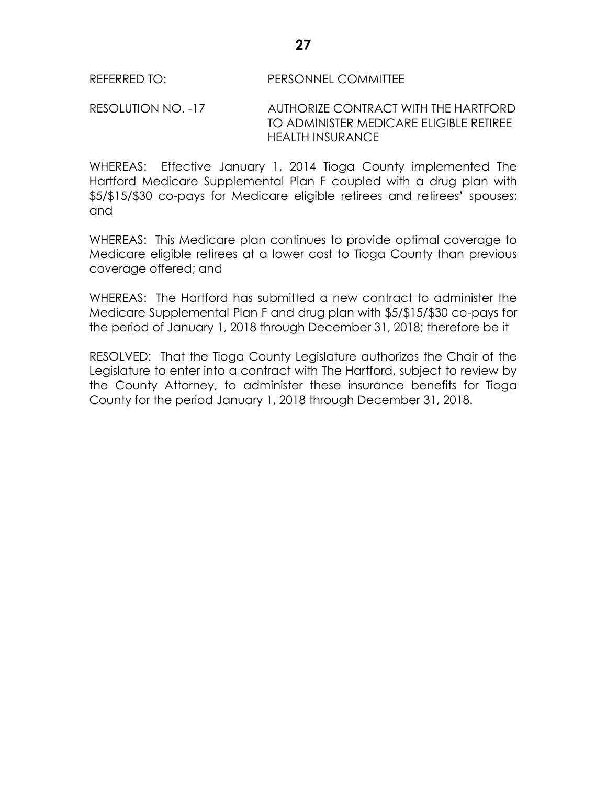RESOLUTION NO. -17 AUTHORIZE CONTRACT WITH THE HARTFORD TO ADMINISTER MEDICARE ELIGIBLE RETIREE HEALTH INSURANCE

WHEREAS: Effective January 1, 2014 Tioga County implemented The Hartford Medicare Supplemental Plan F coupled with a drug plan with \$5/\$15/\$30 co-pays for Medicare eligible retirees and retirees' spouses; and

WHEREAS: This Medicare plan continues to provide optimal coverage to Medicare eligible retirees at a lower cost to Tioga County than previous coverage offered; and

WHEREAS: The Hartford has submitted a new contract to administer the Medicare Supplemental Plan F and drug plan with \$5/\$15/\$30 co-pays for the period of January 1, 2018 through December 31, 2018; therefore be it

RESOLVED: That the Tioga County Legislature authorizes the Chair of the Legislature to enter into a contract with The Hartford, subject to review by the County Attorney, to administer these insurance benefits for Tioga County for the period January 1, 2018 through December 31, 2018.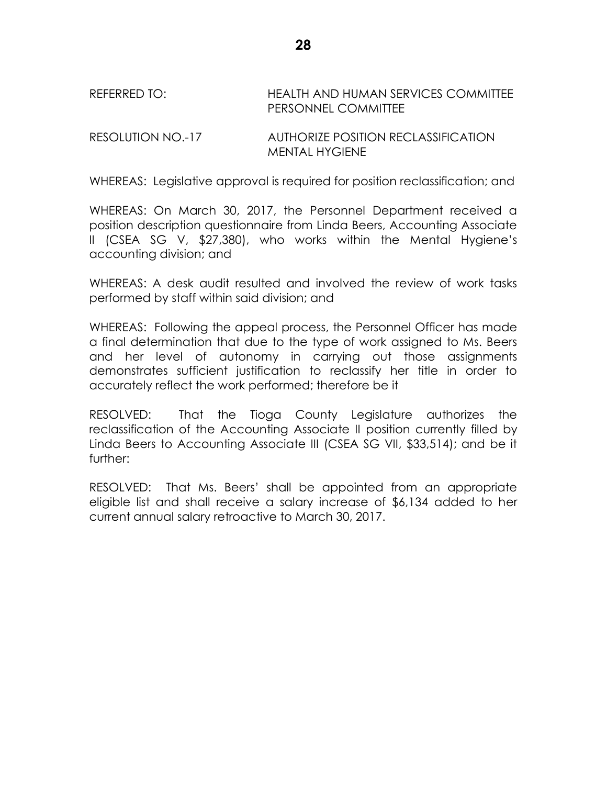REFERRED TO: HEALTH AND HUMAN SERVICES COMMITTEE PERSONNEL COMMITTEE

RESOLUTION NO.-17 AUTHORIZE POSITION RECLASSIFICATION MENTAL HYGIENE

WHEREAS: Legislative approval is required for position reclassification; and

WHEREAS: On March 30, 2017, the Personnel Department received a position description questionnaire from Linda Beers, Accounting Associate II (CSEA SG V, \$27,380), who works within the Mental Hygiene's accounting division; and

WHEREAS: A desk audit resulted and involved the review of work tasks performed by staff within said division; and

WHEREAS: Following the appeal process, the Personnel Officer has made a final determination that due to the type of work assigned to Ms. Beers and her level of autonomy in carrying out those assignments demonstrates sufficient justification to reclassify her title in order to accurately reflect the work performed; therefore be it

RESOLVED: That the Tioga County Legislature authorizes the reclassification of the Accounting Associate II position currently filled by Linda Beers to Accounting Associate III (CSEA SG VII, \$33,514); and be it further:

RESOLVED: That Ms. Beers' shall be appointed from an appropriate eligible list and shall receive a salary increase of \$6,134 added to her current annual salary retroactive to March 30, 2017.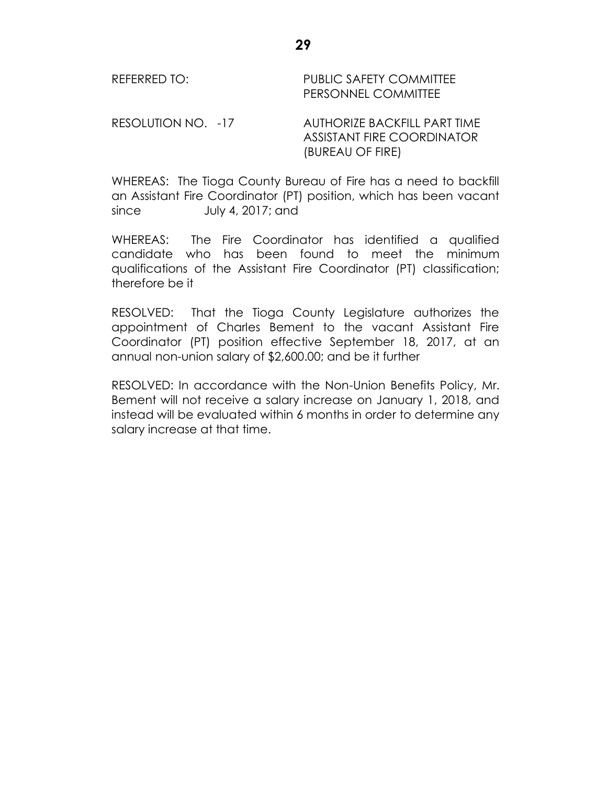REFERRED TO: PUBLIC SAFETY COMMITTEE PERSONNEL COMMITTEE

RESOLUTION NO. -17 AUTHORIZE BACKFILL PART TIME ASSISTANT FIRE COORDINATOR (BUREAU OF FIRE)

WHEREAS: The Tioga County Bureau of Fire has a need to backfill an Assistant Fire Coordinator (PT) position, which has been vacant since July 4, 2017; and

WHEREAS: The Fire Coordinator has identified a qualified candidate who has been found to meet the minimum qualifications of the Assistant Fire Coordinator (PT) classification; therefore be it

RESOLVED: That the Tioga County Legislature authorizes the appointment of Charles Bement to the vacant Assistant Fire Coordinator (PT) position effective September 18, 2017, at an annual non-union salary of \$2,600.00; and be it further

RESOLVED: In accordance with the Non-Union Benefits Policy, Mr. Bement will not receive a salary increase on January 1, 2018, and instead will be evaluated within 6 months in order to determine any salary increase at that time.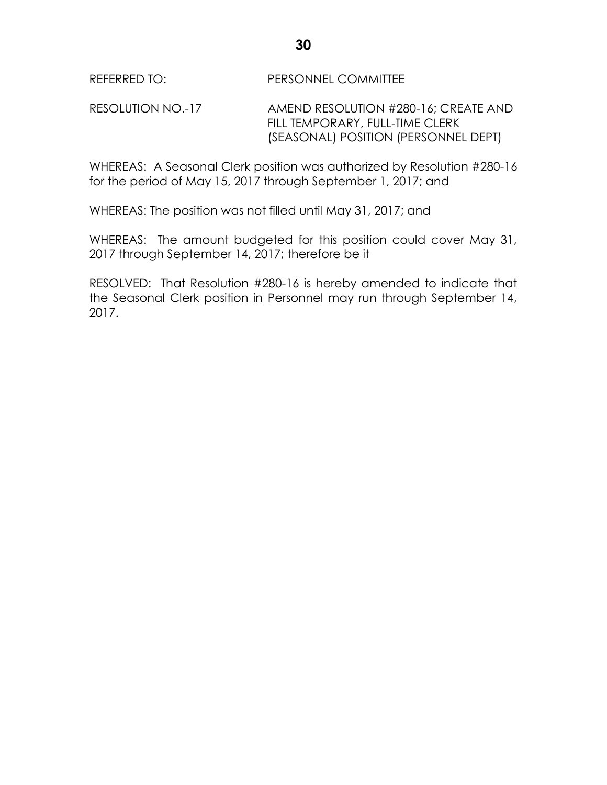RESOLUTION NO.-17 AMEND RESOLUTION #280-16; CREATE AND FILL TEMPORARY, FULL-TIME CLERK (SEASONAL) POSITION (PERSONNEL DEPT)

WHEREAS: A Seasonal Clerk position was authorized by Resolution #280-16 for the period of May 15, 2017 through September 1, 2017; and

WHEREAS: The position was not filled until May 31, 2017; and

WHEREAS: The amount budgeted for this position could cover May 31, 2017 through September 14, 2017; therefore be it

RESOLVED: That Resolution #280-16 is hereby amended to indicate that the Seasonal Clerk position in Personnel may run through September 14, 2017.